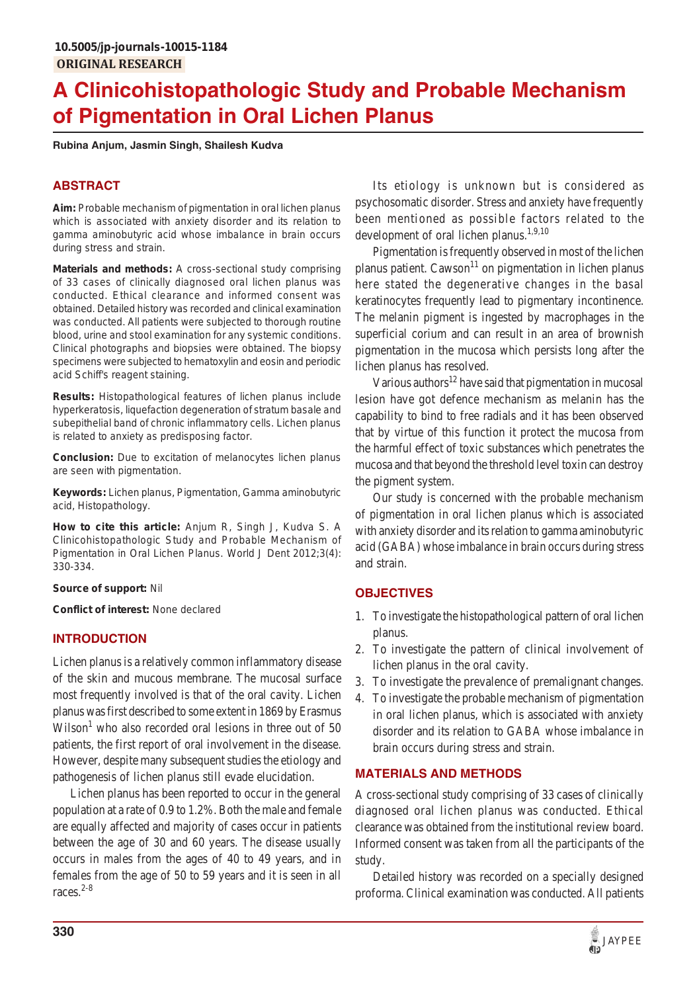# **A Clinicohistopathologic Study and Probable Mechanism of Pigmentation in Oral Lichen Planus**

**Rubina Anjum, Jasmin Singh, Shailesh Kudva**

# **ABSTRACT**

**Aim:** Probable mechanism of pigmentation in oral lichen planus which is associated with anxiety disorder and its relation to gamma aminobutyric acid whose imbalance in brain occurs during stress and strain.

**Materials and methods:** A cross-sectional study comprising of 33 cases of clinically diagnosed oral lichen planus was conducted. Ethical clearance and informed consent was obtained. Detailed history was recorded and clinical examination was conducted. All patients were subjected to thorough routine blood, urine and stool examination for any systemic conditions. Clinical photographs and biopsies were obtained. The biopsy specimens were subjected to hematoxylin and eosin and periodic acid Schiff's reagent staining.

**Results:** Histopathological features of lichen planus include hyperkeratosis, liquefaction degeneration of stratum basale and subepithelial band of chronic inflammatory cells. Lichen planus is related to anxiety as predisposing factor.

**Conclusion:** Due to excitation of melanocytes lichen planus are seen with pigmentation.

**Keywords:** Lichen planus, Pigmentation, Gamma aminobutyric acid, Histopathology.

**How to cite this article:** Anjum R, Singh J, Kudva S. A Clinicohistopathologic Study and Probable Mechanism of Pigmentation in Oral Lichen Planus. World J Dent 2012;3(4): 330-334.

#### **Source of support:** Nil

**Conflict of interest:** None declared

#### **INTRODUCTION**

Lichen planus is a relatively common inflammatory disease of the skin and mucous membrane. The mucosal surface most frequently involved is that of the oral cavity. Lichen planus was first described to some extent in 1869 by Erasmus Wilson<sup>1</sup> who also recorded oral lesions in three out of 50 patients, the first report of oral involvement in the disease. However, despite many subsequent studies the etiology and pathogenesis of lichen planus still evade elucidation.

Lichen planus has been reported to occur in the general population at a rate of 0.9 to 1.2%. Both the male and female are equally affected and majority of cases occur in patients between the age of 30 and 60 years. The disease usually occurs in males from the ages of 40 to 49 years, and in females from the age of 50 to 59 years and it is seen in all races. $2-8$ 

Its etiology is unknown but is considered as psychosomatic disorder. Stress and anxiety have frequently been mentioned as possible factors related to the development of oral lichen planus.<sup>1,9,10</sup>

Pigmentation is frequently observed in most of the lichen planus patient. Cawson<sup>11</sup> on pigmentation in lichen planus here stated the degenerative changes in the basal keratinocytes frequently lead to pigmentary incontinence. The melanin pigment is ingested by macrophages in the superficial corium and can result in an area of brownish pigmentation in the mucosa which persists long after the lichen planus has resolved.

Various authors<sup>12</sup> have said that pigmentation in mucosal lesion have got defence mechanism as melanin has the capability to bind to free radials and it has been observed that by virtue of this function it protect the mucosa from the harmful effect of toxic substances which penetrates the mucosa and that beyond the threshold level toxin can destroy the pigment system.

Our study is concerned with the probable mechanism of pigmentation in oral lichen planus which is associated with anxiety disorder and its relation to gamma aminobutyric acid (GABA) whose imbalance in brain occurs during stress and strain.

#### **OBJECTIVES**

- 1. To investigate the histopathological pattern of oral lichen planus.
- 2. To investigate the pattern of clinical involvement of lichen planus in the oral cavity.
- 3. To investigate the prevalence of premalignant changes.
- 4. To investigate the probable mechanism of pigmentation in oral lichen planus, which is associated with anxiety disorder and its relation to GABA whose imbalance in brain occurs during stress and strain.

#### **MATERIALS AND METHODS**

A cross-sectional study comprising of 33 cases of clinically diagnosed oral lichen planus was conducted. Ethical clearance was obtained from the institutional review board. Informed consent was taken from all the participants of the study.

Detailed history was recorded on a specially designed proforma. Clinical examination was conducted. All patients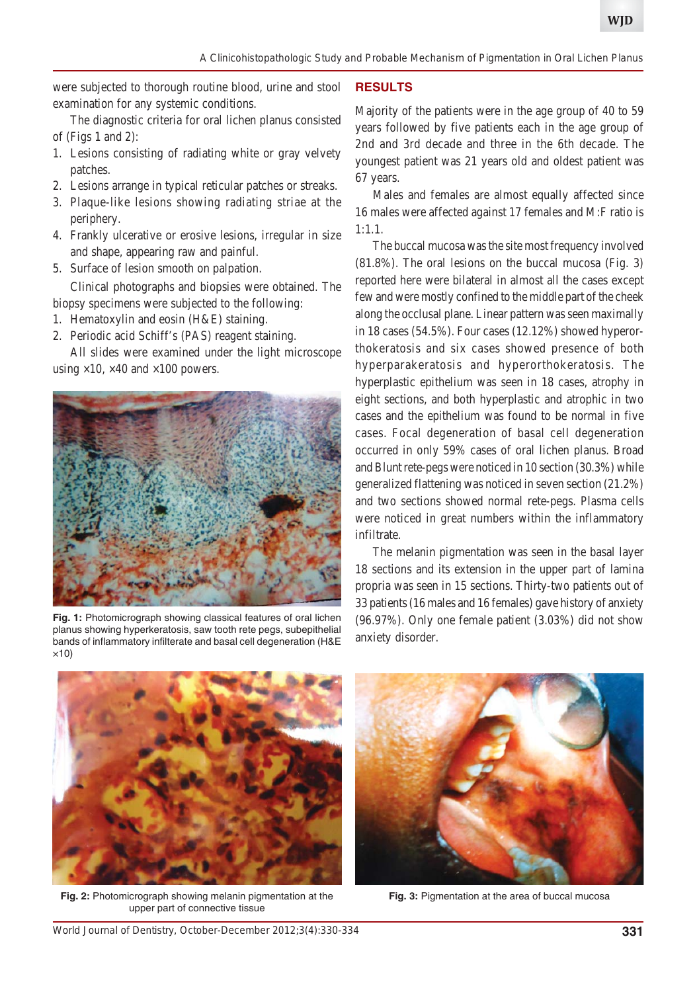were subjected to thorough routine blood, urine and stool examination for any systemic conditions.

The diagnostic criteria for oral lichen planus consisted of (Figs 1 and 2):

- 1. Lesions consisting of radiating white or gray velvety patches.
- 2. Lesions arrange in typical reticular patches or streaks.
- 3. Plaque-like lesions showing radiating striae at the periphery.
- 4. Frankly ulcerative or erosive lesions, irregular in size and shape, appearing raw and painful.
- 5. Surface of lesion smooth on palpation.

Clinical photographs and biopsies were obtained. The biopsy specimens were subjected to the following:

- 1. Hematoxylin and eosin (H&E) staining.
- 2. Periodic acid Schiff's (PAS) reagent staining.

All slides were examined under the light microscope using  $\times$ 10,  $\times$ 40 and  $\times$ 100 powers.



**Fig. 1:** Photomicrograph showing classical features of oral lichen planus showing hyperkeratosis, saw tooth rete pegs, subepithelial bands of inflammatory infilterate and basal cell degeneration (H&E ×10)

### **RESULTS**

Majority of the patients were in the age group of 40 to 59 years followed by five patients each in the age group of 2nd and 3rd decade and three in the 6th decade. The youngest patient was 21 years old and oldest patient was 67 years.

Males and females are almost equally affected since 16 males were affected against 17 females and M:F ratio is 1:1.1.

The buccal mucosa was the site most frequency involved (81.8%). The oral lesions on the buccal mucosa (Fig. 3) reported here were bilateral in almost all the cases except few and were mostly confined to the middle part of the cheek along the occlusal plane. Linear pattern was seen maximally in 18 cases (54.5%). Four cases (12.12%) showed hyperorthokeratosis and six cases showed presence of both hyperparakeratosis and hyperorthokeratosis. The hyperplastic epithelium was seen in 18 cases, atrophy in eight sections, and both hyperplastic and atrophic in two cases and the epithelium was found to be normal in five cases. Focal degeneration of basal cell degeneration occurred in only 59% cases of oral lichen planus. Broad and Blunt rete-pegs were noticed in 10 section (30.3%) while generalized flattening was noticed in seven section (21.2%) and two sections showed normal rete-pegs. Plasma cells were noticed in great numbers within the inflammatory infiltrate.

The melanin pigmentation was seen in the basal layer 18 sections and its extension in the upper part of lamina propria was seen in 15 sections. Thirty-two patients out of 33 patients (16 males and 16 females) gave history of anxiety (96.97%). Only one female patient (3.03%) did not show anxiety disorder.



**Fig. 2:** Photomicrograph showing melanin pigmentation at the upper part of connective tissue



**Fig. 3:** Pigmentation at the area of buccal mucosa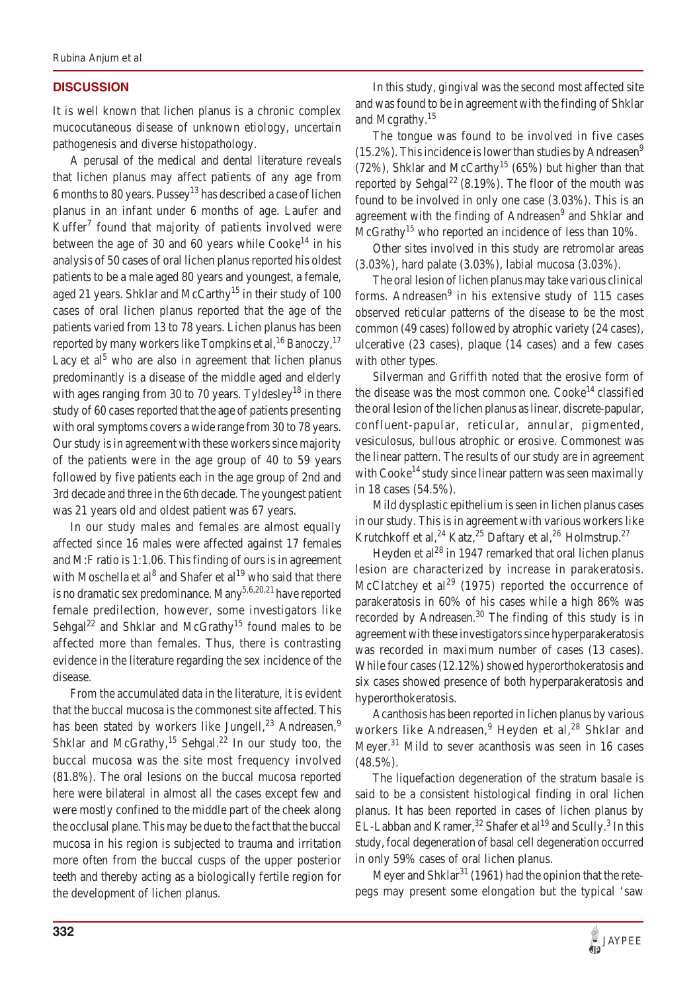#### **DISCUSSION**

It is well known that lichen planus is a chronic complex mucocutaneous disease of unknown etiology, uncertain pathogenesis and diverse histopathology.

A perusal of the medical and dental literature reveals that lichen planus may affect patients of any age from 6 months to 80 years. Pussey<sup>13</sup> has described a case of lichen planus in an infant under 6 months of age. Laufer and Kuffer $<sup>7</sup>$  found that majority of patients involved were</sup> between the age of 30 and 60 years while  $Cooke^{14}$  in his analysis of 50 cases of oral lichen planus reported his oldest patients to be a male aged 80 years and youngest, a female, aged 21 years. Shklar and McCarthy<sup>15</sup> in their study of 100 cases of oral lichen planus reported that the age of the patients varied from 13 to 78 years. Lichen planus has been reported by many workers like Tompkins et al,  $^{16}$  Banoczy,  $^{17}$ Lacy et al<sup>5</sup> who are also in agreement that lichen planus predominantly is a disease of the middle aged and elderly with ages ranging from 30 to 70 years. Tyldesley<sup>18</sup> in there study of 60 cases reported that the age of patients presenting with oral symptoms covers a wide range from 30 to 78 years. Our study is in agreement with these workers since majority of the patients were in the age group of 40 to 59 years followed by five patients each in the age group of 2nd and 3rd decade and three in the 6th decade. The youngest patient was 21 years old and oldest patient was 67 years.

In our study males and females are almost equally affected since 16 males were affected against 17 females and M:F ratio is 1:1.06. This finding of ours is in agreement with Moschella et al<sup>8</sup> and Shafer et al<sup>19</sup> who said that there is no dramatic sex predominance. Many<sup>5,6,20,21</sup> have reported female predilection, however, some investigators like Sehgal<sup>22</sup> and Shklar and McGrathy<sup>15</sup> found males to be affected more than females. Thus, there is contrasting evidence in the literature regarding the sex incidence of the disease.

From the accumulated data in the literature, it is evident that the buccal mucosa is the commonest site affected. This has been stated by workers like Jungell,<sup>23</sup> Andreasen,<sup>9</sup> Shklar and McGrathy,<sup>15</sup> Sehgal.<sup>22</sup> In our study too, the buccal mucosa was the site most frequency involved (81.8%). The oral lesions on the buccal mucosa reported here were bilateral in almost all the cases except few and were mostly confined to the middle part of the cheek along the occlusal plane. This may be due to the fact that the buccal mucosa in his region is subjected to trauma and irritation more often from the buccal cusps of the upper posterior teeth and thereby acting as a biologically fertile region for the development of lichen planus.

In this study, gingival was the second most affected site and was found to be in agreement with the finding of Shklar and Mcgrathy.<sup>15</sup>

The tongue was found to be involved in five cases  $(15.2\%)$ . This incidence is lower than studies by Andreasen<sup>9</sup> (72%), Shklar and McCarthy<sup>15</sup> (65%) but higher than that reported by Sehgal<sup>22</sup> (8.19%). The floor of the mouth was found to be involved in only one case (3.03%). This is an agreement with the finding of Andreasen<sup>9</sup> and Shklar and  $McGrathy<sup>15</sup>$  who reported an incidence of less than 10%.

Other sites involved in this study are retromolar areas (3.03%), hard palate (3.03%), labial mucosa (3.03%).

The oral lesion of lichen planus may take various clinical forms. Andreasen $9$  in his extensive study of 115 cases observed reticular patterns of the disease to be the most common (49 cases) followed by atrophic variety (24 cases), ulcerative (23 cases), plaque (14 cases) and a few cases with other types.

Silverman and Griffith noted that the erosive form of the disease was the most common one.  $Cooke^{14}$  classified the oral lesion of the lichen planus as linear, discrete-papular, confluent-papular, reticular, annular, pigmented, vesiculosus, bullous atrophic or erosive. Commonest was the linear pattern. The results of our study are in agreement with Cooke<sup>14</sup> study since linear pattern was seen maximally in 18 cases (54.5%).

Mild dysplastic epithelium is seen in lichen planus cases in our study. This is in agreement with various workers like Krutchkoff et al,<sup>24</sup> Katz,<sup>25</sup> Daftary et al,<sup>26</sup> Holmstrup.<sup>27</sup>

Heyden et al<sup>28</sup> in 1947 remarked that oral lichen planus lesion are characterized by increase in parakeratosis. McClatchey et al<sup>29</sup> (1975) reported the occurrence of parakeratosis in 60% of his cases while a high 86% was recorded by Andreasen.<sup>30</sup> The finding of this study is in agreement with these investigators since hyperparakeratosis was recorded in maximum number of cases (13 cases). While four cases (12.12%) showed hyperorthokeratosis and six cases showed presence of both hyperparakeratosis and hyperorthokeratosis.

Acanthosis has been reported in lichen planus by various workers like Andreasen,<sup>9</sup> Heyden et al,<sup>28</sup> Shklar and Meyer.<sup>31</sup> Mild to sever acanthosis was seen in 16 cases (48.5%).

The liquefaction degeneration of the stratum basale is said to be a consistent histological finding in oral lichen planus. It has been reported in cases of lichen planus by EL-Labban and Kramer,<sup>32</sup> Shafer et al<sup>19</sup> and Scully.<sup>3</sup> In this study, focal degeneration of basal cell degeneration occurred in only 59% cases of oral lichen planus.

Meyer and Shklar<sup>31</sup> (1961) had the opinion that the retepegs may present some elongation but the typical 'saw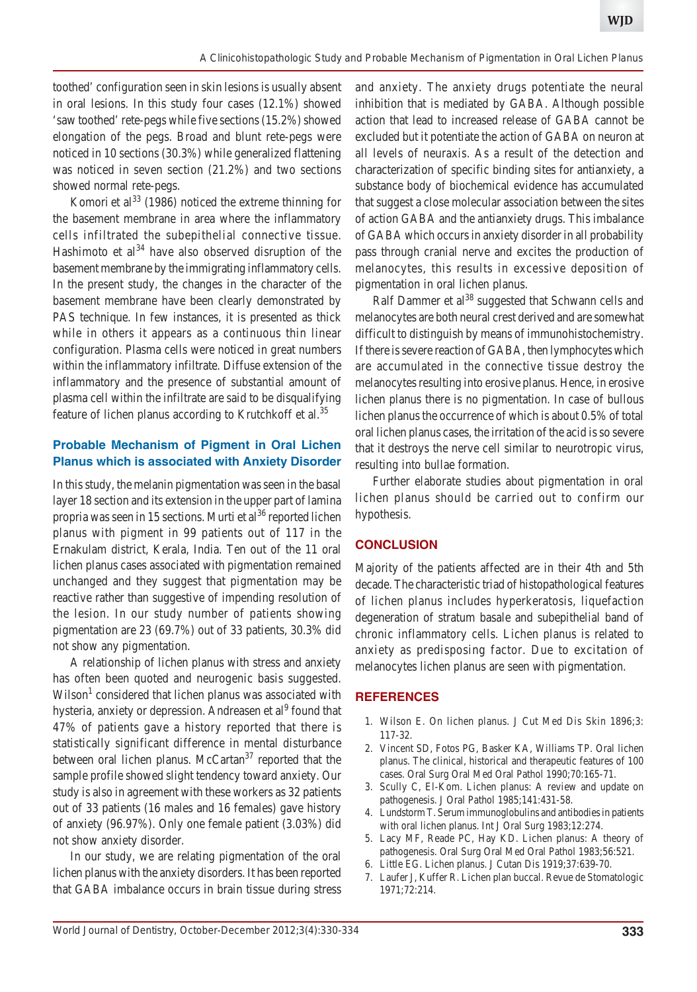toothed' configuration seen in skin lesions is usually absent in oral lesions. In this study four cases (12.1%) showed 'saw toothed' rete-pegs while five sections (15.2%) showed elongation of the pegs. Broad and blunt rete-pegs were noticed in 10 sections (30.3%) while generalized flattening was noticed in seven section (21.2%) and two sections showed normal rete-pegs.

Komori et al<sup>33</sup> (1986) noticed the extreme thinning for the basement membrane in area where the inflammatory cells infiltrated the subepithelial connective tissue. Hashimoto et  $al<sup>34</sup>$  have also observed disruption of the basement membrane by the immigrating inflammatory cells. In the present study, the changes in the character of the basement membrane have been clearly demonstrated by PAS technique. In few instances, it is presented as thick while in others it appears as a continuous thin linear configuration. Plasma cells were noticed in great numbers within the inflammatory infiltrate. Diffuse extension of the inflammatory and the presence of substantial amount of plasma cell within the infiltrate are said to be disqualifying feature of lichen planus according to Krutchkoff et al.<sup>35</sup>

### **Probable Mechanism of Pigment in Oral Lichen Planus which is associated with Anxiety Disorder**

In this study, the melanin pigmentation was seen in the basal layer 18 section and its extension in the upper part of lamina propria was seen in 15 sections. Murti et al<sup>36</sup> reported lichen planus with pigment in 99 patients out of 117 in the Ernakulam district, Kerala, India. Ten out of the 11 oral lichen planus cases associated with pigmentation remained unchanged and they suggest that pigmentation may be reactive rather than suggestive of impending resolution of the lesion. In our study number of patients showing pigmentation are 23 (69.7%) out of 33 patients, 30.3% did not show any pigmentation.

A relationship of lichen planus with stress and anxiety has often been quoted and neurogenic basis suggested. Wilson<sup>1</sup> considered that lichen planus was associated with hysteria, anxiety or depression. Andreasen et al<sup>9</sup> found that 47% of patients gave a history reported that there is statistically significant difference in mental disturbance between oral lichen planus. McCartan $37$  reported that the sample profile showed slight tendency toward anxiety. Our study is also in agreement with these workers as 32 patients out of 33 patients (16 males and 16 females) gave history of anxiety (96.97%). Only one female patient (3.03%) did not show anxiety disorder.

In our study, we are relating pigmentation of the oral lichen planus with the anxiety disorders. It has been reported that GABA imbalance occurs in brain tissue during stress

and anxiety. The anxiety drugs potentiate the neural inhibition that is mediated by GABA. Although possible action that lead to increased release of GABA cannot be excluded but it potentiate the action of GABA on neuron at all levels of neuraxis. As a result of the detection and characterization of specific binding sites for antianxiety, a substance body of biochemical evidence has accumulated that suggest a close molecular association between the sites of action GABA and the antianxiety drugs. This imbalance of GABA which occurs in anxiety disorder in all probability pass through cranial nerve and excites the production of melanocytes, this results in excessive deposition of pigmentation in oral lichen planus.

Ralf Dammer et al<sup>38</sup> suggested that Schwann cells and melanocytes are both neural crest derived and are somewhat difficult to distinguish by means of immunohistochemistry. If there is severe reaction of GABA, then lymphocytes which are accumulated in the connective tissue destroy the melanocytes resulting into erosive planus. Hence, in erosive lichen planus there is no pigmentation. In case of bullous lichen planus the occurrence of which is about 0.5% of total oral lichen planus cases, the irritation of the acid is so severe that it destroys the nerve cell similar to neurotropic virus, resulting into bullae formation.

Further elaborate studies about pigmentation in oral lichen planus should be carried out to confirm our hypothesis.

# **CONCLUSION**

Majority of the patients affected are in their 4th and 5th decade. The characteristic triad of histopathological features of lichen planus includes hyperkeratosis, liquefaction degeneration of stratum basale and subepithelial band of chronic inflammatory cells. Lichen planus is related to anxiety as predisposing factor. Due to excitation of melanocytes lichen planus are seen with pigmentation.

#### **REFERENCES**

- 1. Wilson E. On lichen planus. J Cut Med Dis Skin 1896;3: 117-32.
- 2. Vincent SD, Fotos PG, Basker KA, Williams TP. Oral lichen planus. The clinical, historical and therapeutic features of 100 cases. Oral Surg Oral Med Oral Pathol 1990;70:165-71.
- 3. Scully C, El-Kom. Lichen planus: A review and update on pathogenesis. J Oral Pathol 1985;141:431-58.
- 4. Lundstorm T. Serum immunoglobulins and antibodies in patients with oral lichen planus. Int J Oral Surg 1983;12:274.
- 5. Lacy MF, Reade PC, Hay KD. Lichen planus: A theory of pathogenesis. Oral Surg Oral Med Oral Pathol 1983;56:521.
- 6. Little EG. Lichen planus. J Cutan Dis 1919;37:639-70.
- 7. Laufer J, Kuffer R. Lichen plan buccal. Revue de Stomatologic 1971;72:214.